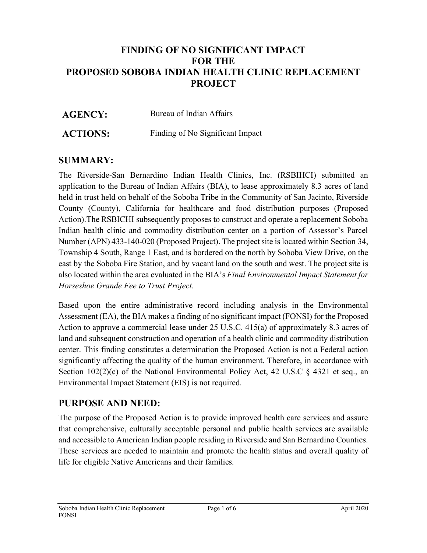# **FINDING OF NO SIGNIFICANT IMPACT FOR THE PROPOSED SOBOBA INDIAN HEALTH CLINIC REPLACEMENT PROJECT**

| <b>AGENCY:</b>  | Bureau of Indian Affairs         |
|-----------------|----------------------------------|
| <b>ACTIONS:</b> | Finding of No Significant Impact |

# **SUMMARY:**

The Riverside-San Bernardino Indian Health Clinics, Inc. (RSBIHCI) submitted an application to the Bureau of Indian Affairs (BIA), to lease approximately 8.3 acres of land held in trust held on behalf of the Soboba Tribe in the Community of San Jacinto, Riverside County (County), California for healthcare and food distribution purposes (Proposed Action).The RSBICHI subsequently proposes to construct and operate a replacement Soboba Indian health clinic and commodity distribution center on a portion of Assessor's Parcel Number (APN) 433-140-020 (Proposed Project). The project site is located within Section 34, Township 4 South, Range 1 East, and is bordered on the north by Soboba View Drive, on the east by the Soboba Fire Station, and by vacant land on the south and west. The project site is also located within the area evaluated in the BIA's *Final Environmental Impact Statement for Horseshoe Grande Fee to Trust Project*.

Based upon the entire administrative record including analysis in the Environmental Assessment (EA), the BIA makes a finding of no significant impact (FONSI) for the Proposed Action to approve a commercial lease under [25 U.S.C. 415\(a\)](https://www.law.cornell.edu/uscode/text/25/415#a) of approximately 8.3 acres of land and subsequent construction and operation of a health clinic and commodity distribution center. This finding constitutes a determination the Proposed Action is not a Federal action significantly affecting the quality of the human environment. Therefore, in accordance with Section  $102(2)(c)$  of the National Environmental Policy Act, 42 U.S.C § 4321 et seq., an Environmental Impact Statement (EIS) is not required.

## **PURPOSE AND NEED:**

The purpose of the Proposed Action is to provide improved health care services and assure that comprehensive, culturally acceptable personal and public health services are available and accessible to American Indian people residing in Riverside and San Bernardino Counties. These services are needed to maintain and promote the health status and overall quality of life for eligible Native Americans and their families.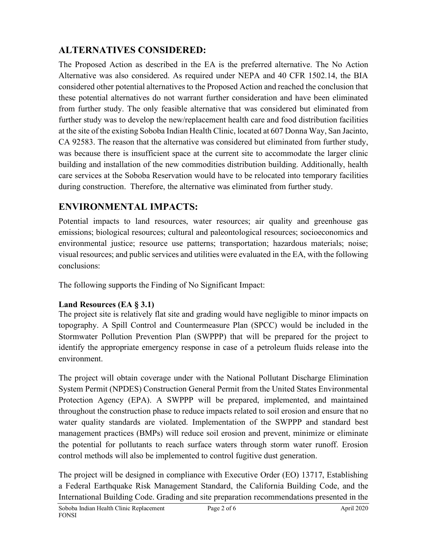# **ALTERNATIVES CONSIDERED:**

The Proposed Action as described in the EA is the preferred alternative. The No Action Alternative was also considered. As required under NEPA and 40 CFR 1502.14, the BIA considered other potential alternatives to the Proposed Action and reached the conclusion that these potential alternatives do not warrant further consideration and have been eliminated from further study. The only feasible alternative that was considered but eliminated from further study was to develop the new/replacement health care and food distribution facilities at the site of the existing Soboba Indian Health Clinic, located at 607 Donna Way, San Jacinto, CA 92583. The reason that the alternative was considered but eliminated from further study, was because there is insufficient space at the current site to accommodate the larger clinic building and installation of the new commodities distribution building. Additionally, health care services at the Soboba Reservation would have to be relocated into temporary facilities during construction. Therefore, the alternative was eliminated from further study.

# **ENVIRONMENTAL IMPACTS:**

Potential impacts to land resources, water resources; air quality and greenhouse gas emissions; biological resources; cultural and paleontological resources; socioeconomics and environmental justice; resource use patterns; transportation; hazardous materials; noise; visual resources; and public services and utilities were evaluated in the EA, with the following conclusions:

The following supports the Finding of No Significant Impact:

# **Land Resources (EA § 3.1)**

The project site is relatively flat site and grading would have negligible to minor impacts on topography. A Spill Control and Countermeasure Plan (SPCC) would be included in the Stormwater Pollution Prevention Plan (SWPPP) that will be prepared for the project to identify the appropriate emergency response in case of a petroleum fluids release into the environment.

The project will obtain coverage under with the National Pollutant Discharge Elimination System Permit (NPDES) Construction General Permit from the United States Environmental Protection Agency (EPA). A SWPPP will be prepared, implemented, and maintained throughout the construction phase to reduce impacts related to soil erosion and ensure that no water quality standards are violated. Implementation of the SWPPP and standard best management practices (BMPs) will reduce soil erosion and prevent, minimize or eliminate the potential for pollutants to reach surface waters through storm water runoff. Erosion control methods will also be implemented to control fugitive dust generation.

The project will be designed in compliance with Executive Order (EO) 13717, Establishing a Federal Earthquake Risk Management Standard, the California Building Code, and the International Building Code. Grading and site preparation recommendations presented in the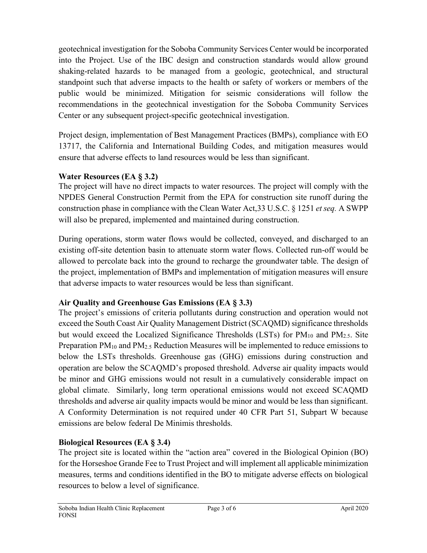geotechnical investigation for the Soboba Community Services Center would be incorporated into the Project. Use of the IBC design and construction standards would allow ground shaking-related hazards to be managed from a geologic, geotechnical, and structural standpoint such that adverse impacts to the health or safety of workers or members of the public would be minimized. Mitigation for seismic considerations will follow the recommendations in the geotechnical investigation for the Soboba Community Services Center or any subsequent project-specific geotechnical investigation.

Project design, implementation of Best Management Practices (BMPs), compliance with EO 13717, the California and International Building Codes, and mitigation measures would ensure that adverse effects to land resources would be less than significant.

## **Water Resources (EA § 3.2)**

The project will have no direct impacts to water resources. The project will comply with the NPDES General Construction Permit from the EPA for construction site runoff during the construction phase in compliance with the Clean Water Act,33 U.S.C. § 1251 *et seq.* A SWPP will also be prepared, implemented and maintained during construction.

During operations, storm water flows would be collected, conveyed, and discharged to an existing off-site detention basin to attenuate storm water flows. Collected run-off would be allowed to percolate back into the ground to recharge the groundwater table. The design of the project, implementation of BMPs and implementation of mitigation measures will ensure that adverse impacts to water resources would be less than significant.

# **Air Quality and Greenhouse Gas Emissions (EA § 3.3)**

The project's emissions of criteria pollutants during construction and operation would not exceed the South Coast Air Quality Management District (SCAQMD) significance thresholds but would exceed the Localized Significance Thresholds (LSTs) for  $PM_{10}$  and  $PM_{2.5}$ . Site Preparation PM<sub>10</sub> and PM<sub>2.5</sub> Reduction Measures will be implemented to reduce emissions to below the LSTs thresholds. Greenhouse gas (GHG) emissions during construction and operation are below the SCAQMD's proposed threshold. Adverse air quality impacts would be minor and GHG emissions would not result in a cumulatively considerable impact on global climate. Similarly, long term operational emissions would not exceed SCAQMD thresholds and adverse air quality impacts would be minor and would be less than significant. A Conformity Determination is not required under 40 CFR Part 51, Subpart W because emissions are below federal De Minimis thresholds.

# **Biological Resources (EA § 3.4)**

The project site is located within the "action area" covered in the Biological Opinion (BO) for the Horseshoe Grande Fee to Trust Project and will implement all applicable minimization measures, terms and conditions identified in the BO to mitigate adverse effects on biological resources to below a level of significance.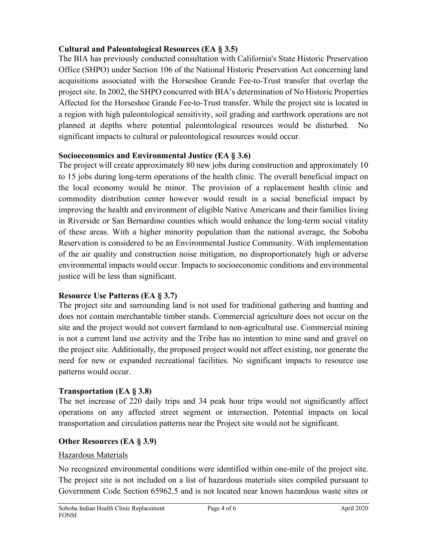## **Cultural and Paleontological Resources (EA § 3.5)**

The BIA has previously conducted consultation with California's State Historic Preservation Office (SHPO) under Section 106 of the National Historic Preservation Act concerning land acquisitions associated with the Horseshoe Grande Fee-to-Trust transfer that overlap the project site. In 2002, the SHPO concurred with BIA's determination of No Historic Properties Affected for the Horseshoe Grande Fee-to-Trust transfer. While the project site is located in a region with high paleontological sensitivity, soil grading and earthwork operations are not planned at depths where potential paleontological resources would be disturbed. No significant impacts to cultural or paleontological resources would occur.

#### **Socioeconomics and Environmental Justice (EA § 3.6)**

The project will create approximately 80 new jobs during construction and approximately 10 to 15 jobs during long-term operations of the health clinic. The overall beneficial impact on the local economy would be minor. The provision of a replacement health clinic and commodity distribution center however would result in a social beneficial impact by improving the health and environment of eligible Native Americans and their families living in Riverside or San Bernardino counties which would enhance the long-term social vitality of these areas. With a higher minority population than the national average, the Soboba Reservation is considered to be an Environmental Justice Community. With implementation of the air quality and construction noise mitigation, no disproportionately high or adverse environmental impacts would occur. Impacts to socioeconomic conditions and environmental justice will be less than significant.

## **Resource Use Patterns (EA § 3.7)**

The project site and surrounding land is not used for traditional gathering and hunting and does not contain merchantable timber stands. Commercial agriculture does not occur on the site and the project would not convert farmland to non-agricultural use. Commercial mining is not a current land use activity and the Tribe has no intention to mine sand and gravel on the project site. Additionally, the proposed project would not affect existing, nor generate the need for new or expanded recreational facilities. No significant impacts to resource use patterns would occur.

## **Transportation (EA § 3.8)**

The net increase of 220 daily trips and 34 peak hour trips would not significantly affect operations on any affected street segment or intersection. Potential impacts on local transportation and circulation patterns near the Project site would not be significant.

## **Other Resources (EA § 3.9)**

#### Hazardous Materials

No recognized environmental conditions were identified within one-mile of the project site. The project site is not included on a list of hazardous materials sites compiled pursuant to Government Code Section 65962.5 and is not located near known hazardous waste sites or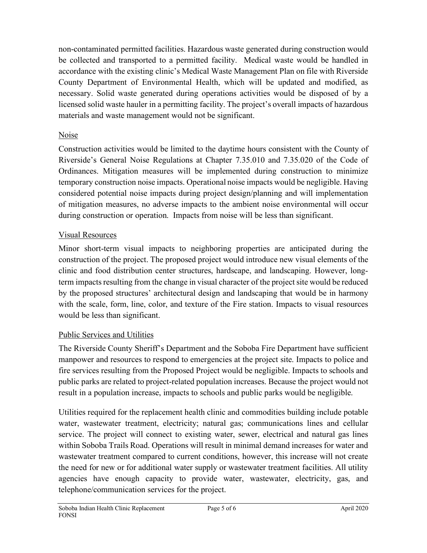non-contaminated permitted facilities. Hazardous waste generated during construction would be collected and transported to a permitted facility. Medical waste would be handled in accordance with the existing clinic's Medical Waste Management Plan on file with Riverside County Department of Environmental Health, which will be updated and modified, as necessary. Solid waste generated during operations activities would be disposed of by a licensed solid waste hauler in a permitting facility. The project's overall impacts of hazardous materials and waste management would not be significant.

### Noise

Construction activities would be limited to the daytime hours consistent with the County of Riverside's General Noise Regulations at Chapter 7.35.010 and 7.35.020 of the Code of Ordinances. Mitigation measures will be implemented during construction to minimize temporary construction noise impacts. Operational noise impacts would be negligible. Having considered potential noise impacts during project design/planning and will implementation of mitigation measures, no adverse impacts to the ambient noise environmental will occur during construction or operation. Impacts from noise will be less than significant.

#### Visual Resources

Minor short-term visual impacts to neighboring properties are anticipated during the construction of the project. The proposed project would introduce new visual elements of the clinic and food distribution center structures, hardscape, and landscaping. However, longterm impacts resulting from the change in visual character of the project site would be reduced by the proposed structures' architectural design and landscaping that would be in harmony with the scale, form, line, color, and texture of the Fire station. Impacts to visual resources would be less than significant.

## Public Services and Utilities

The Riverside County Sheriff's Department and the Soboba Fire Department have sufficient manpower and resources to respond to emergencies at the project site. Impacts to police and fire services resulting from the Proposed Project would be negligible. Impacts to schools and public parks are related to project-related population increases. Because the project would not result in a population increase, impacts to schools and public parks would be negligible.

Utilities required for the replacement health clinic and commodities building include potable water, wastewater treatment, electricity; natural gas; communications lines and cellular service. The project will connect to existing water, sewer, electrical and natural gas lines within Soboba Trails Road. Operations will result in minimal demand increases for water and wastewater treatment compared to current conditions, however, this increase will not create the need for new or for additional water supply or wastewater treatment facilities. All utility agencies have enough capacity to provide water, wastewater, electricity, gas, and telephone/communication services for the project.